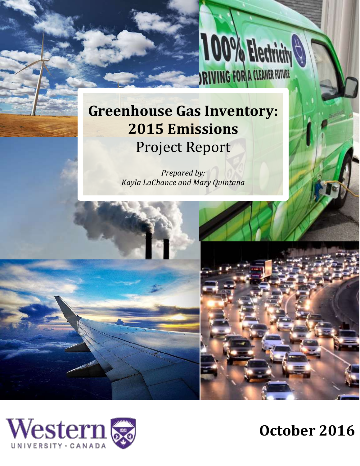# **Greenhouse Gas Inventory: 2015 Emissions** Project Report

**100% Electricity** 

*Prepared by: Kayla LaChance and Mary Quintana* 



**October 2016**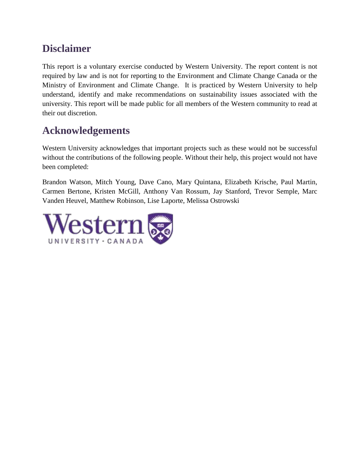## **Disclaimer**

This report is a voluntary exercise conducted by Western University. The report content is not required by law and is not for reporting to the Environment and Climate Change Canada or the Ministry of Environment and Climate Change. It is practiced by Western University to help understand, identify and make recommendations on sustainability issues associated with the university. This report will be made public for all members of the Western community to read at their out discretion.

## **Acknowledgements**

Western University acknowledges that important projects such as these would not be successful without the contributions of the following people. Without their help, this project would not have been completed:

Brandon Watson, Mitch Young, Dave Cano, Mary Quintana, Elizabeth Krische, Paul Martin, Carmen Bertone, Kristen McGill, Anthony Van Rossum, Jay Stanford, Trevor Semple, Marc Vanden Heuvel, Matthew Robinson, Lise Laporte, Melissa Ostrowski

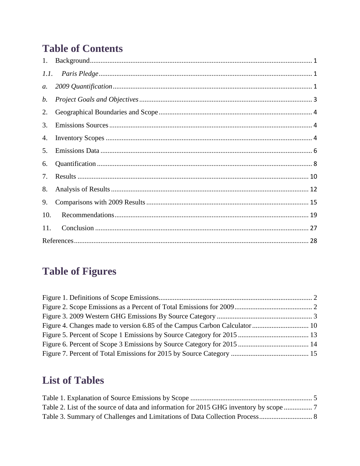## **Table of Contents**

| $a$ . |  |
|-------|--|
| b.    |  |
| 2.    |  |
| 3.    |  |
| 4.    |  |
| 5.    |  |
| 6.    |  |
| 7.    |  |
| 8.    |  |
| 9.    |  |
| 10.   |  |
| 11.   |  |
|       |  |

## **Table of Figures**

## **List of Tables**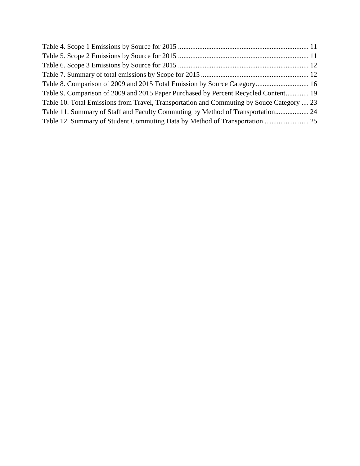| Table 8. Comparison of 2009 and 2015 Total Emission by Source Category 16                 |  |
|-------------------------------------------------------------------------------------------|--|
| Table 9. Comparison of 2009 and 2015 Paper Purchased by Percent Recycled Content 19       |  |
| Table 10. Total Emissions from Travel, Transportation and Commuting by Souce Category  23 |  |
| Table 11. Summary of Staff and Faculty Commuting by Method of Transportation 24           |  |
| Table 12. Summary of Student Commuting Data by Method of Transportation  25               |  |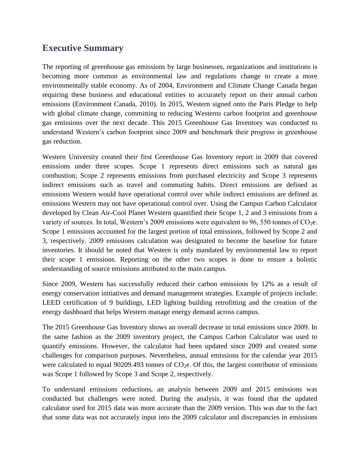## **Executive Summary**

The reporting of greenhouse gas emissions by large businesses, organizations and institutions is becoming more common as environmental law and regulations change to create a more environmentally stable economy. As of 2004, Environment and Climate Change Canada began requiring these business and educational entities to accurately report on their annual carbon emissions (Environment Canada, 2010). In 2015, Western signed onto the Paris Pledge to help with global climate change, committing to reducing Westerns carbon footprint and greenhouse gas emissions over the next decade. This 2015 Greenhouse Gas Inventory was conducted to understand Western's carbon footprint since 2009 and benchmark their progress in greenhouse gas reduction.

Western University created their first Greenhouse Gas Inventory report in 2009 that covered emissions under three scopes. Scope 1 represents direct emissions such as natural gas combustion; Scope 2 represents emissions from purchased electricity and Scope 3 represents indirect emissions such as travel and commuting habits. Direct emissions are defined as emissions Western would have operational control over while indirect emissions are defined as emissions Western may not have operational control over. Using the Campus Carbon Calculator developed by Clean Air-Cool Planet Western quantified their Scope 1, 2 and 3 emissions from a variety of sources. In total, Western's 2009 emissions were equivalent to 96, 550 tonnes of  $CO<sub>2</sub>e$ . Scope 1 emissions accounted for the largest portion of total emissions, followed by Scope 2 and 3, respectively. 2009 emissions calculation was designated to become the baseline for future inventories. It should be noted that Western is only mandated by environmental law to report their scope 1 emissions. Reporting on the other two scopes is done to ensure a holistic understanding of source emissions attributed to the main campus.

Since 2009, Western has successfully reduced their carbon emissions by 12% as a result of energy conservation initiatives and demand management strategies. Example of projects include: LEED certification of 9 buildings, LED lighting building retrofitting and the creation of the energy dashboard that helps Western manage energy demand across campus.

The 2015 Greenhouse Gas Inventory shows an overall decrease in total emissions since 2009. In the same fashion as the 2009 inventory project, the Campus Carbon Calculator was used to quantify emissions. However, the calculator had been updated since 2009 and created some challenges for comparison purposes. Nevertheless, annual emissions for the calendar year 2015 were calculated to equal 90209.493 tonnes of  $CO<sub>2</sub>e$ . Of this, the largest contributor of emissions was Scope 1 followed by Scope 3 and Scope 2, respectively.

To understand emissions reductions, an analysis between 2009 and 2015 emissions was conducted but challenges were noted. During the analysis, it was found that the updated calculator used for 2015 data was more accurate than the 2009 version. This was due to the fact that some data was not accurately input into the 2009 calculator and discrepancies in emissions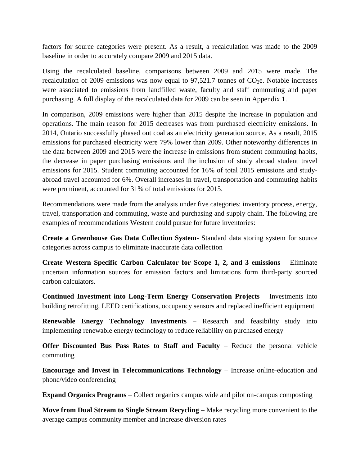factors for source categories were present. As a result, a recalculation was made to the 2009 baseline in order to accurately compare 2009 and 2015 data.

Using the recalculated baseline, comparisons between 2009 and 2015 were made. The recalculation of 2009 emissions was now equal to  $97,521.7$  tonnes of CO<sub>2</sub>e. Notable increases were associated to emissions from landfilled waste, faculty and staff commuting and paper purchasing. A full display of the recalculated data for 2009 can be seen in Appendix 1.

In comparison, 2009 emissions were higher than 2015 despite the increase in population and operations. The main reason for 2015 decreases was from purchased electricity emissions. In 2014, Ontario successfully phased out coal as an electricity generation source. As a result, 2015 emissions for purchased electricity were 79% lower than 2009. Other noteworthy differences in the data between 2009 and 2015 were the increase in emissions from student commuting habits, the decrease in paper purchasing emissions and the inclusion of study abroad student travel emissions for 2015. Student commuting accounted for 16% of total 2015 emissions and studyabroad travel accounted for 6%. Overall increases in travel, transportation and commuting habits were prominent, accounted for 31% of total emissions for 2015.

Recommendations were made from the analysis under five categories: inventory process, energy, travel, transportation and commuting, waste and purchasing and supply chain. The following are examples of recommendations Western could pursue for future inventories:

**Create a Greenhouse Gas Data Collection System**- Standard data storing system for source categories across campus to eliminate inaccurate data collection

**Create Western Specific Carbon Calculator for Scope 1, 2, and 3 emissions** – Eliminate uncertain information sources for emission factors and limitations form third-party sourced carbon calculators.

**Continued Investment into Long-Term Energy Conservation Projects** – Investments into building retrofitting, LEED certifications, occupancy sensors and replaced inefficient equipment

**Renewable Energy Technology Investments** – Research and feasibility study into implementing renewable energy technology to reduce reliability on purchased energy

**Offer Discounted Bus Pass Rates to Staff and Faculty** – Reduce the personal vehicle commuting

**Encourage and Invest in Telecommunications Technology** – Increase online-education and phone/video conferencing

**Expand Organics Programs** – Collect organics campus wide and pilot on-campus composting

**Move from Dual Stream to Single Stream Recycling** – Make recycling more convenient to the average campus community member and increase diversion rates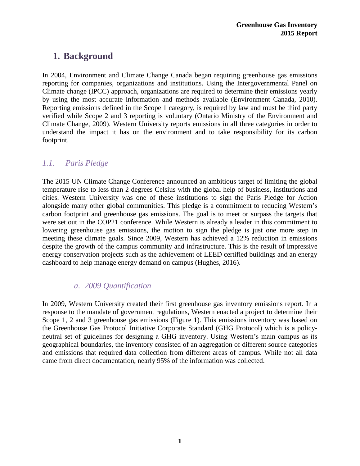## <span id="page-6-0"></span>**1. Background**

In 2004, Environment and Climate Change Canada began requiring greenhouse gas emissions reporting for companies, organizations and institutions. Using the Intergovernmental Panel on Climate change (IPCC) approach, organizations are required to determine their emissions yearly by using the most accurate information and methods available (Environment Canada, 2010). Reporting emissions defined in the Scope 1 category, is required by law and must be third party verified while Scope 2 and 3 reporting is voluntary (Ontario Ministry of the Environment and Climate Change, 2009). Western University reports emissions in all three categories in order to understand the impact it has on the environment and to take responsibility for its carbon footprint.

### <span id="page-6-1"></span>*1.1. Paris Pledge*

The 2015 UN Climate Change Conference announced an ambitious target of limiting the global temperature rise to less than 2 degrees Celsius with the global help of business, institutions and cities. Western University was one of these institutions to sign the Paris Pledge for Action alongside many other global communities. This pledge is a commitment to reducing Western's carbon footprint and greenhouse gas emissions. The goal is to meet or surpass the targets that were set out in the COP21 conference. While Western is already a leader in this commitment to lowering greenhouse gas emissions, the motion to sign the pledge is just one more step in meeting these climate goals. Since 2009, Western has achieved a 12% reduction in emissions despite the growth of the campus community and infrastructure. This is the result of impressive energy conservation projects such as the achievement of LEED certified buildings and an energy dashboard to help manage energy demand on campus (Hughes, 2016).

#### *a. 2009 Quantification*

<span id="page-6-2"></span>In 2009, Western University created their first greenhouse gas inventory emissions report. In a response to the mandate of government regulations, Western enacted a project to determine their Scope 1, 2 and 3 greenhouse gas emissions (Figure 1). This emissions inventory was based on the Greenhouse Gas Protocol Initiative Corporate Standard (GHG Protocol) which is a policyneutral set of guidelines for designing a GHG inventory. Using Western's main campus as its geographical boundaries, the inventory consisted of an aggregation of different source categories and emissions that required data collection from different areas of campus. While not all data came from direct documentation, nearly 95% of the information was collected.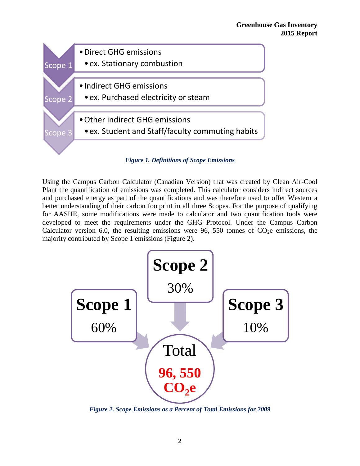

*Figure 1. Definitions of Scope Emissions*

<span id="page-7-0"></span>Using the Campus Carbon Calculator (Canadian Version) that was created by Clean Air-Cool Plant the quantification of emissions was completed. This calculator considers indirect sources and purchased energy as part of the quantifications and was therefore used to offer Western a better understanding of their carbon footprint in all three Scopes. For the purpose of qualifying for AASHE, some modifications were made to calculator and two quantification tools were developed to meet the requirements under the GHG Protocol. Under the Campus Carbon Calculator version 6.0, the resulting emissions were 96, 550 tonnes of  $CO<sub>2</sub>e$  emissions, the majority contributed by Scope 1 emissions (Figure 2).



<span id="page-7-1"></span>*Figure 2. Scope Emissions as a Percent of Total Emissions for 2009*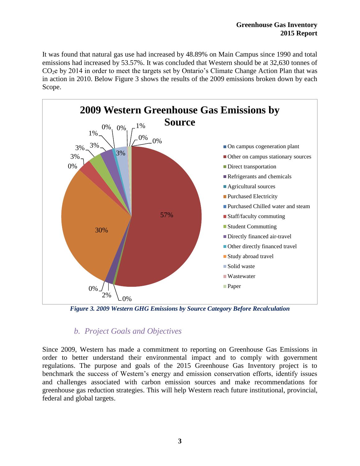It was found that natural gas use had increased by 48.89% on Main Campus since 1990 and total emissions had increased by 53.57%. It was concluded that Western should be at 32,630 tonnes of CO2e by 2014 in order to meet the targets set by Ontario's Climate Change Action Plan that was in action in 2010. Below Figure 3 shows the results of the 2009 emissions broken down by each Scope.



<span id="page-8-1"></span>*Figure 3. 2009 Western GHG Emissions by Source Category Before Recalculation*

### *b. Project Goals and Objectives*

<span id="page-8-0"></span>Since 2009, Western has made a commitment to reporting on Greenhouse Gas Emissions in order to better understand their environmental impact and to comply with government regulations. The purpose and goals of the 2015 Greenhouse Gas Inventory project is to benchmark the success of Western's energy and emission conservation efforts, identify issues and challenges associated with carbon emission sources and make recommendations for greenhouse gas reduction strategies. This will help Western reach future institutional, provincial, federal and global targets.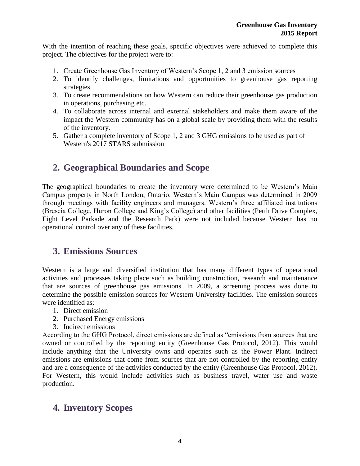With the intention of reaching these goals, specific objectives were achieved to complete this project. The objectives for the project were to:

- 1. Create Greenhouse Gas Inventory of Western's Scope 1, 2 and 3 emission sources
- 2. To identify challenges, limitations and opportunities to greenhouse gas reporting strategies
- 3. To create recommendations on how Western can reduce their greenhouse gas production in operations, purchasing etc.
- 4. To collaborate across internal and external stakeholders and make them aware of the impact the Western community has on a global scale by providing them with the results of the inventory.
- 5. Gather a complete inventory of Scope 1, 2 and 3 GHG emissions to be used as part of Western's 2017 STARS submission

## <span id="page-9-0"></span>**2. Geographical Boundaries and Scope**

The geographical boundaries to create the inventory were determined to be Western's Main Campus property in North London, Ontario. Western's Main Campus was determined in 2009 through meetings with facility engineers and managers. Western's three affiliated institutions (Brescia College, Huron College and King's College) and other facilities (Perth Drive Complex, Eight Level Parkade and the Research Park) were not included because Western has no operational control over any of these facilities.

## <span id="page-9-1"></span>**3. Emissions Sources**

Western is a large and diversified institution that has many different types of operational activities and processes taking place such as building construction, research and maintenance that are sources of greenhouse gas emissions. In 2009, a screening process was done to determine the possible emission sources for Western University facilities. The emission sources were identified as:

- 1. Direct emission
- 2. Purchased Energy emissions
- 3. Indirect emissions

According to the GHG Protocol, direct emissions are defined as "emissions from sources that are owned or controlled by the reporting entity (Greenhouse Gas Protocol, 2012). This would include anything that the University owns and operates such as the Power Plant. Indirect emissions are emissions that come from sources that are not controlled by the reporting entity and are a consequence of the activities conducted by the entity (Greenhouse Gas Protocol, 2012). For Western, this would include activities such as business travel, water use and waste production.

## <span id="page-9-2"></span>**4. Inventory Scopes**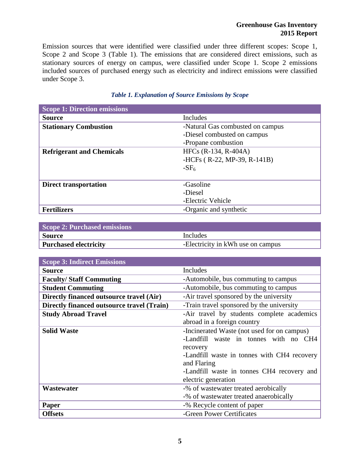Emission sources that were identified were classified under three different scopes: Scope 1, Scope 2 and Scope 3 (Table 1). The emissions that are considered direct emissions, such as stationary sources of energy on campus, were classified under Scope 1. Scope 2 emissions included sources of purchased energy such as electricity and indirect emissions were classified under Scope 3.

<span id="page-10-0"></span>

| <b>Scope 1: Direction emissions</b> |                                  |
|-------------------------------------|----------------------------------|
| <b>Source</b>                       | Includes                         |
| <b>Stationary Combustion</b>        | -Natural Gas combusted on campus |
|                                     | -Diesel combusted on campus      |
|                                     | -Propane combustion              |
| <b>Refrigerant and Chemicals</b>    | HFCs (R-134, R-404A)             |
|                                     | -HCFs (R-22, MP-39, R-141B)      |
|                                     | $-SF6$                           |
|                                     |                                  |
| <b>Direct transportation</b>        | -Gasoline                        |
|                                     | -Diesel                          |
|                                     | -Electric Vehicle                |
| <b>Fertilizers</b>                  | -Organic and synthetic           |

#### *Table 1. Explanation of Source Emissions by Scope*

| <b>Scope 2: Purchased emissions</b> |                                   |
|-------------------------------------|-----------------------------------|
| <b>Source</b>                       | Includes                          |
| <b>Purchased electricity</b>        | -Electricity in kWh use on campus |

| <b>Scope 3: Indirect Emissions</b>                                       |                                             |  |
|--------------------------------------------------------------------------|---------------------------------------------|--|
| Includes<br>Source                                                       |                                             |  |
| <b>Faculty/Staff Commuting</b>                                           | -Automobile, bus commuting to campus        |  |
| <b>Student Commuting</b>                                                 | -Automobile, bus commuting to campus        |  |
| Directly financed outsource travel (Air)                                 | -Air travel sponsored by the university     |  |
| <b>Directly financed outsource travel (Train)</b>                        | -Train travel sponsored by the university   |  |
| -Air travel by students complete academics<br><b>Study Abroad Travel</b> |                                             |  |
|                                                                          | abroad in a foreign country                 |  |
| <b>Solid Waste</b><br>-Incinerated Waste (not used for on campus)        |                                             |  |
|                                                                          | -Landfill waste in tonnes with no CH4       |  |
|                                                                          | recovery                                    |  |
|                                                                          | -Landfill waste in tonnes with CH4 recovery |  |
|                                                                          | and Flaring                                 |  |
|                                                                          | -Landfill waste in tonnes CH4 recovery and  |  |
|                                                                          | electric generation                         |  |
| Wastewater<br>-% of wastewater treated aerobically                       |                                             |  |
|                                                                          | -% of wastewater treated anaerobically      |  |
| Paper                                                                    | -% Recycle content of paper                 |  |
| <b>Offsets</b>                                                           | -Green Power Certificates                   |  |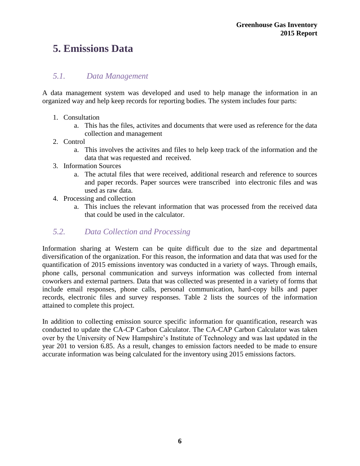## <span id="page-11-0"></span>**5. Emissions Data**

#### *5.1. Data Management*

A data management system was developed and used to help manage the information in an organized way and help keep records for reporting bodies. The system includes four parts:

- 1. Consultation
	- a. This has the files, activites and documents that were used as reference for the data collection and management
- 2. Control
	- a. This involves the activites and files to help keep track of the information and the data that was requested and received.
- 3. Information Sources
	- a. The actutal files that were received, additional research and reference to sources and paper records. Paper sources were transcribed into electronic files and was used as raw data.
- 4. Processing and collection
	- a. This inclues the relevant information that was processed from the received data that could be used in the calculator.

#### *5.2. Data Collection and Processing*

Information sharing at Western can be quite difficult due to the size and departmental diversification of the organization. For this reason, the information and data that was used for the quantification of 2015 emissions inventory was conducted in a variety of ways. Through emails, phone calls, personal communication and surveys information was collected from internal coworkers and external partners. Data that was collected was presented in a variety of forms that include email responses, phone calls, personal communication, hard-copy bills and paper records, electronic files and survey responses. Table 2 lists the sources of the information attained to complete this project.

In addition to collecting emission source specific information for quantification, research was conducted to update the CA-CP Carbon Calculator. The CA-CAP Carbon Calculator was taken over by the University of New Hampshire's Institute of Technology and was last updated in the year 201 to version 6.85. As a result, changes to emission factors needed to be made to ensure accurate information was being calculated for the inventory using 2015 emissions factors.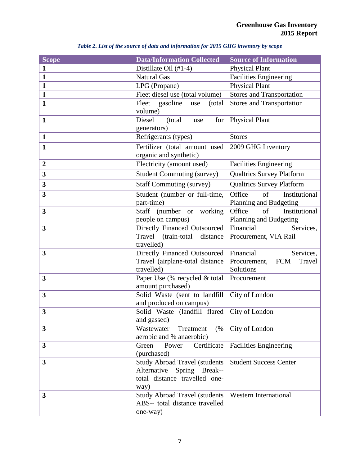<span id="page-12-0"></span>

| <b>Scope</b>            | <b>Data/Information Collected</b>                       | <b>Source of Information</b>                     |
|-------------------------|---------------------------------------------------------|--------------------------------------------------|
| $\mathbf{1}$            | Distillate Oil (#1-4)                                   | <b>Physical Plant</b>                            |
| $\mathbf{1}$            | <b>Natural Gas</b>                                      | Facilities Engineering                           |
| $\mathbf{1}$            | LPG (Propane)                                           | <b>Physical Plant</b>                            |
| $\mathbf{1}$            | Fleet diesel use (total volume)                         | <b>Stores and Transportation</b>                 |
| $\mathbf{1}$            | Fleet<br>gasoline<br>(total)<br>use                     | <b>Stores and Transportation</b>                 |
|                         | volume)                                                 |                                                  |
| $\mathbf{1}$            | Diesel<br>(total<br>for<br>use                          | <b>Physical Plant</b>                            |
| $\mathbf{1}$            | generators)<br>Refrigerants (types)                     | <b>Stores</b>                                    |
|                         |                                                         |                                                  |
| $\mathbf{1}$            | Fertilizer (total amount used                           | 2009 GHG Inventory                               |
| $\boldsymbol{2}$        | organic and synthetic)<br>Electricity (amount used)     | <b>Facilities Engineering</b>                    |
|                         |                                                         |                                                  |
| 3                       | <b>Student Commuting (survey)</b>                       | <b>Qualtrics Survey Platform</b>                 |
| 3                       | <b>Staff Commuting (survey)</b>                         | <b>Qualtrics Survey Platform</b>                 |
| 3                       | Student (number or full-time,                           | of<br>Institutional<br>Office                    |
|                         | part-time)                                              | Planning and Budgeting                           |
| 3                       | <b>Staff</b><br>(number or<br>working                   | Office<br>of<br>Institutional                    |
| $\overline{\mathbf{3}}$ | people on campus)<br>Directly Financed Outsourced       | Planning and Budgeting<br>Financial<br>Services, |
|                         | Travel (train-total<br>distance                         | Procurement, VIA Rail                            |
|                         | travelled)                                              |                                                  |
| 3                       | Directly Financed Outsourced                            | Financial<br>Services,                           |
|                         | Travel (airplane-total distance                         | <b>FCM</b><br>Travel<br>Procurement,             |
|                         | travelled)                                              | Solutions                                        |
| 3                       | Paper Use (% recycled & total                           | Procurement                                      |
|                         | amount purchased)                                       |                                                  |
| 3                       | Solid Waste (sent to landfill                           | City of London                                   |
| 3                       | and produced on campus)<br>Solid Waste (landfill flared | City of London                                   |
|                         | and gassed)                                             |                                                  |
| 3                       | Wastewater<br>Treatment<br>(%                           | City of London                                   |
|                         | aerobic and % anaerobic)                                |                                                  |
| 3                       | Certificate<br>Green<br>Power                           | <b>Facilities Engineering</b>                    |
|                         | (purchased)                                             |                                                  |
| 3                       | <b>Study Abroad Travel (students)</b>                   | <b>Student Success Center</b>                    |
|                         | Alternative<br>Spring Break--                           |                                                  |
|                         | total distance travelled one-                           |                                                  |
|                         | way)                                                    |                                                  |
| 3                       | Study Abroad Travel (students Western International     |                                                  |
|                         | ABS-- total distance travelled                          |                                                  |
|                         | one-way)                                                |                                                  |

#### *Table 2. List of the source of data and information for 2015 GHG inventory by scope*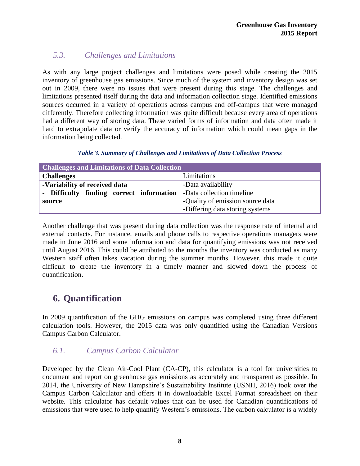### *5.3. Challenges and Limitations*

As with any large project challenges and limitations were posed while creating the 2015 inventory of greenhouse gas emissions. Since much of the system and inventory design was set out in 2009, there were no issues that were present during this stage. The challenges and limitations presented itself during the data and information collection stage. Identified emissions sources occurred in a variety of operations across campus and off-campus that were managed differently. Therefore collecting information was quite difficult because every area of operations had a different way of storing data. These varied forms of information and data often made it hard to extrapolate data or verify the accuracy of information which could mean gaps in the information being collected.

| Table 3. Summary of Challenges and Limitations of Data Collection Process |  |  |  |
|---------------------------------------------------------------------------|--|--|--|
|---------------------------------------------------------------------------|--|--|--|

<span id="page-13-1"></span>

| <b>Challenges and Limitations of Data Collection</b>               |                                  |  |  |
|--------------------------------------------------------------------|----------------------------------|--|--|
| <b>Challenges</b>                                                  | Limitations                      |  |  |
| -Variability of received data                                      | -Data availability               |  |  |
| - Difficulty finding correct information -Data collection timeline |                                  |  |  |
| source                                                             | -Quality of emission source data |  |  |
|                                                                    | -Differing data storing systems  |  |  |

Another challenge that was present during data collection was the response rate of internal and external contacts. For instance, emails and phone calls to respective operations managers were made in June 2016 and some information and data for quantifying emissions was not received until August 2016. This could be attributed to the months the inventory was conducted as many Western staff often takes vacation during the summer months. However, this made it quite difficult to create the inventory in a timely manner and slowed down the process of quantification.

## <span id="page-13-0"></span>**6. Quantification**

In 2009 quantification of the GHG emissions on campus was completed using three different calculation tools. However, the 2015 data was only quantified using the Canadian Versions Campus Carbon Calculator.

#### *6.1. Campus Carbon Calculator*

Developed by the Clean Air-Cool Plant (CA-CP), this calculator is a tool for universities to document and report on greenhouse gas emissions as accurately and transparent as possible. In 2014, the University of New Hampshire's Sustainability Institute (USNH, 2016) took over the Campus Carbon Calculator and offers it in downloadable Excel Format spreadsheet on their website. This calculator has default values that can be used for Canadian quantifications of emissions that were used to help quantify Western's emissions. The carbon calculator is a widely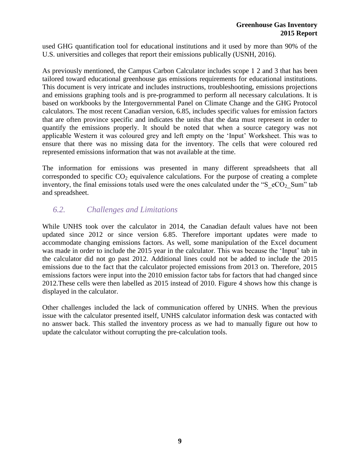used GHG quantification tool for educational institutions and it used by more than 90% of the U.S. universities and colleges that report their emissions publically (USNH, 2016).

As previously mentioned, the Campus Carbon Calculator includes scope 1 2 and 3 that has been tailored toward educational greenhouse gas emissions requirements for educational institutions. This document is very intricate and includes instructions, troubleshooting, emissions projections and emissions graphing tools and is pre-programmed to perform all necessary calculations. It is based on workbooks by the Intergovernmental Panel on Climate Change and the GHG Protocol calculators. The most recent Canadian version, 6.85, includes specific values for emission factors that are often province specific and indicates the units that the data must represent in order to quantify the emissions properly. It should be noted that when a source category was not applicable Western it was coloured grey and left empty on the 'Input' Worksheet. This was to ensure that there was no missing data for the inventory. The cells that were coloured red represented emissions information that was not available at the time.

The information for emissions was presented in many different spreadsheets that all corresponded to specific  $CO<sub>2</sub>$  equivalence calculations. For the purpose of creating a complete inventory, the final emissions totals used were the ones calculated under the "S  $eCO<sub>2</sub>$  Sum" tab and spreadsheet.

### *6.2. Challenges and Limitations*

While UNHS took over the calculator in 2014, the Canadian default values have not been updated since 2012 or since version 6.85. Therefore important updates were made to accommodate changing emissions factors. As well, some manipulation of the Excel document was made in order to include the 2015 year in the calculator. This was because the 'Input' tab in the calculator did not go past 2012. Additional lines could not be added to include the 2015 emissions due to the fact that the calculator projected emissions from 2013 on. Therefore, 2015 emissions factors were input into the 2010 emission factor tabs for factors that had changed since 2012.These cells were then labelled as 2015 instead of 2010. Figure 4 shows how this change is displayed in the calculator.

Other challenges included the lack of communication offered by UNHS. When the previous issue with the calculator presented itself, UNHS calculator information desk was contacted with no answer back. This stalled the inventory process as we had to manually figure out how to update the calculator without corrupting the pre-calculation tools.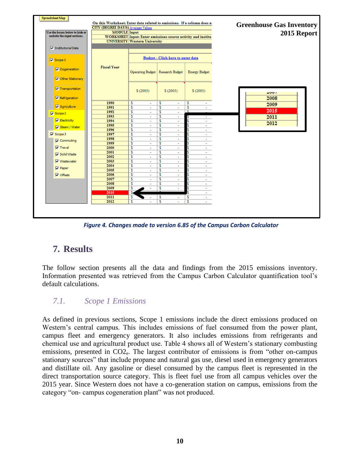

*Figure 4. Changes made to version 6.85 of the Campus Carbon Calculator*

## <span id="page-15-0"></span>**7. Results**

The follow section presents all the data and findings from the 2015 emissions inventory. Information presented was retrieved from the Campus Carbon Calculator quantification tool's default calculations.

#### *7.1. Scope 1 Emissions*

As defined in previous sections, Scope 1 emissions include the direct emissions produced on Western's central campus. This includes emissions of fuel consumed from the power plant, campus fleet and emergency generators. It also includes emissions from refrigerants and chemical use and agricultural product use. Table 4 shows all of Western's stationary combusting emissions, presented in CO2e. The largest contributor of emissions is from "other on-campus stationary sources" that include propane and natural gas use, diesel used in emergency generators and distillate oil. Any gasoline or diesel consumed by the campus fleet is represented in the direct transportation source category. This is fleet fuel use from all campus vehicles over the 2015 year. Since Western does not have a co-generation station on campus, emissions from the category "on- campus cogeneration plant" was not produced.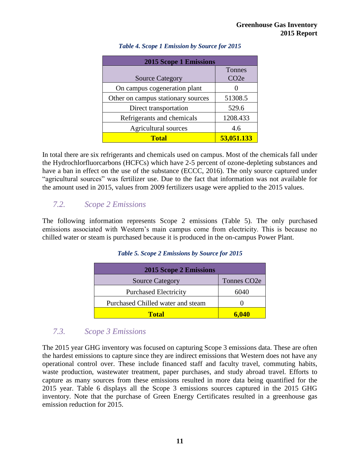<span id="page-16-0"></span>

| <b>2015 Scope 1 Emissions</b>      |                   |
|------------------------------------|-------------------|
|                                    | Tonnes            |
| <b>Source Category</b>             | CO <sub>2</sub> e |
| On campus cogeneration plant       |                   |
| Other on campus stationary sources | 51308.5           |
| Direct transportation              | 529.6             |
| Refrigerants and chemicals         | 1208.433          |
| Agricultural sources               | 4.6               |
| <b>Total</b>                       | 53,051.133        |

#### *Table 4. Scope 1 Emission by Source for 2015*

In total there are six refrigerants and chemicals used on campus. Most of the chemicals fall under the Hydrochlorfluorcarbons (HCFCs) which have 2-5 percent of ozone-depleting substances and have a ban in effect on the use of the substance (ECCC, 2016). The only source captured under "agricultural sources" was fertilizer use. Due to the fact that information was not available for the amount used in 2015, values from 2009 fertilizers usage were applied to the 2015 values.

#### *7.2. Scope 2 Emissions*

<span id="page-16-1"></span>The following information represents Scope 2 emissions (Table 5). The only purchased emissions associated with Western's main campus come from electricity. This is because no chilled water or steam is purchased because it is produced in the on-campus Power Plant.

#### *Table 5. Scope 2 Emissions by Source for 2015*

| <b>2015 Scope 2 Emissions</b>     |                          |  |
|-----------------------------------|--------------------------|--|
| <b>Source Category</b>            | Tonnes CO <sub>2</sub> e |  |
| <b>Purchased Electricity</b>      | 6040                     |  |
| Purchased Chilled water and steam |                          |  |
| <b>Total</b>                      | 6.040                    |  |

#### *7.3. Scope 3 Emissions*

The 2015 year GHG inventory was focused on capturing Scope 3 emissions data. These are often the hardest emissions to capture since they are indirect emissions that Western does not have any operational control over. These include financed staff and faculty travel, commuting habits, waste production, wastewater treatment, paper purchases, and study abroad travel. Efforts to capture as many sources from these emissions resulted in more data being quantified for the 2015 year. Table 6 displays all the Scope 3 emissions sources captured in the 2015 GHG inventory. Note that the purchase of Green Energy Certificates resulted in a greenhouse gas emission reduction for 2015.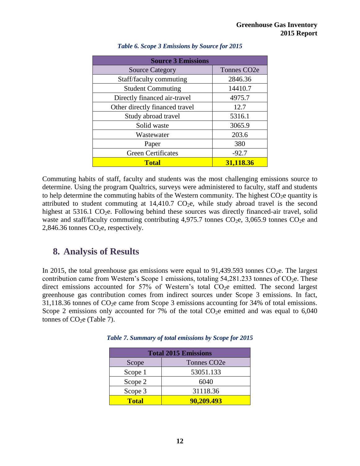<span id="page-17-1"></span>

| <b>Source 3 Emissions</b>      |                          |  |  |
|--------------------------------|--------------------------|--|--|
| <b>Source Category</b>         | Tonnes CO <sub>2</sub> e |  |  |
| Staff/faculty commuting        | 2846.36                  |  |  |
| <b>Student Commuting</b>       | 14410.7                  |  |  |
| Directly financed air-travel   | 4975.7                   |  |  |
| Other directly financed travel | 12.7                     |  |  |
| Study abroad travel            | 5316.1                   |  |  |
| Solid waste                    | 3065.9                   |  |  |
| Wastewater                     | 203.6                    |  |  |
| Paper                          | 380                      |  |  |
| <b>Green Certificates</b>      | $-92.7$                  |  |  |
| <b>Total</b>                   | 31,118.36                |  |  |

#### *Table 6. Scope 3 Emissions by Source for 2015*

Commuting habits of staff, faculty and students was the most challenging emissions source to determine. Using the program Qualtrics, surveys were administered to faculty, staff and students to help determine the commuting habits of the Western community. The highest  $CO<sub>2</sub>e$  quantity is attributed to student commuting at  $14,410.7$  CO<sub>2</sub>e, while study abroad travel is the second highest at  $5316.1 \text{ CO}_2$ e. Following behind these sources was directly financed-air travel, solid waste and staff/faculty commuting contributing  $4,975.7$  tonnes  $CO<sub>2</sub>e$ ,  $3,065.9$  tonnes  $CO<sub>2</sub>e$  and  $2,846.36$  tonnes  $CO<sub>2</sub>e$ , respectively.

## <span id="page-17-0"></span>**8. Analysis of Results**

In 2015, the total greenhouse gas emissions were equal to  $91,439.593$  tonnes CO<sub>2</sub>e. The largest contribution came from Western's Scope 1 emissions, totaling  $54,281.233$  tonnes of CO<sub>2</sub>e. These direct emissions accounted for  $57\%$  of Western's total  $CO<sub>2</sub>e$  emitted. The second largest greenhouse gas contribution comes from indirect sources under Scope 3 emissions. In fact,  $31,118.36$  tonnes of  $\text{CO}_2$ e came from Scope 3 emissions accounting for 34% of total emissions. Scope 2 emissions only accounted for 7% of the total  $CO<sub>2</sub>e$  emitted and was equal to 6,040 tonnes of  $CO<sub>2</sub>e$  (Table 7).

| <b>Total 2015 Emissions</b> |                          |  |
|-----------------------------|--------------------------|--|
| Scope                       | Tonnes CO <sub>2</sub> e |  |
| Scope 1                     | 53051.133                |  |
| Scope 2                     | 6040                     |  |
| Scope 3                     | 31118.36                 |  |
| <b>Total</b>                | 90,209.493               |  |

<span id="page-17-2"></span>*Table 7. Summary of total emissions by Scope for 2015*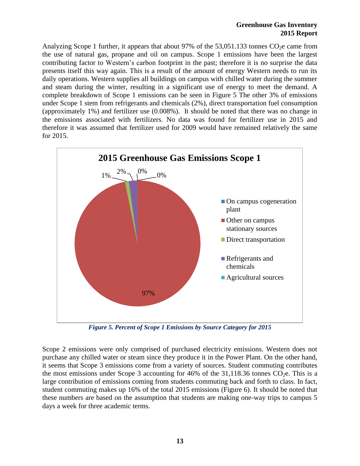#### **Greenhouse Gas Inventory 2015 Report**

Analyzing Scope 1 further, it appears that about 97% of the  $53,051,133$  tonnes CO<sub>2</sub>e came from the use of natural gas, propane and oil on campus. Scope 1 emissions have been the largest contributing factor to Western's carbon footprint in the past; therefore it is no surprise the data presents itself this way again. This is a result of the amount of energy Western needs to run its daily operations. Western supplies all buildings on campus with chilled water during the summer and steam during the winter, resulting in a significant use of energy to meet the demand. A complete breakdown of Scope 1 emissions can be seen in Figure 5 The other 3% of emissions under Scope 1 stem from refrigerants and chemicals (2%), direct transportation fuel consumption (approximately 1%) and fertilizer use (0.008%). It should be noted that there was no change in the emissions associated with fertilizers. No data was found for fertilizer use in 2015 and therefore it was assumed that fertilizer used for 2009 would have remained relatively the same for 2015.



*Figure 5. Percent of Scope 1 Emissions by Source Category for 2015*

<span id="page-18-0"></span>Scope 2 emissions were only comprised of purchased electricity emissions. Western does not purchase any chilled water or steam since they produce it in the Power Plant. On the other hand, it seems that Scope 3 emissions come from a variety of sources. Student commuting contributes the most emissions under Scope 3 accounting for 46% of the 31,118.36 tonnes  $CO<sub>2</sub>e$ . This is a large contribution of emissions coming from students commuting back and forth to class. In fact, student commuting makes up 16% of the total 2015 emissions (Figure 6). It should be noted that these numbers are based on the assumption that students are making one-way trips to campus 5 days a week for three academic terms.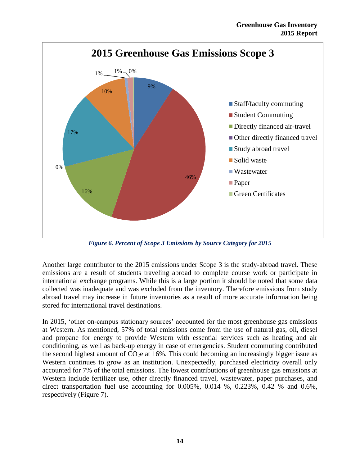

*Figure 6. Percent of Scope 3 Emissions by Source Category for 2015*

<span id="page-19-0"></span>Another large contributor to the 2015 emissions under Scope 3 is the study-abroad travel. These emissions are a result of students traveling abroad to complete course work or participate in international exchange programs. While this is a large portion it should be noted that some data collected was inadequate and was excluded from the inventory. Therefore emissions from study abroad travel may increase in future inventories as a result of more accurate information being stored for international travel destinations.

In 2015, 'other on-campus stationary sources' accounted for the most greenhouse gas emissions at Western. As mentioned, 57% of total emissions come from the use of natural gas, oil, diesel and propane for energy to provide Western with essential services such as heating and air conditioning, as well as back-up energy in case of emergencies. Student commuting contributed the second highest amount of  $CO<sub>2</sub>e$  at 16%. This could becoming an increasingly bigger issue as Western continues to grow as an institution. Unexpectedly, purchased electricity overall only accounted for 7% of the total emissions. The lowest contributions of greenhouse gas emissions at Western include fertilizer use, other directly financed travel, wastewater, paper purchases, and direct transportation fuel use accounting for  $0.005\%$ ,  $0.014\%$ ,  $0.223\%$ ,  $0.42\%$  and  $0.6\%$ , respectively (Figure 7).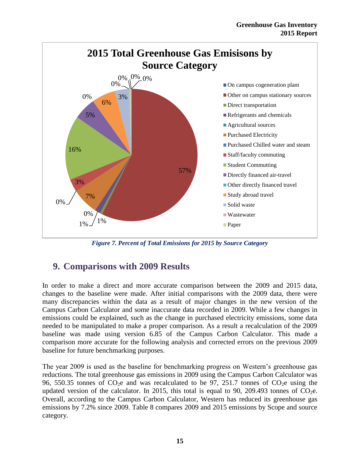

*Figure 7. Percent of Total Emissions for 2015 by Source Category*

## <span id="page-20-1"></span><span id="page-20-0"></span>**9. Comparisons with 2009 Results**

In order to make a direct and more accurate comparison between the 2009 and 2015 data, changes to the baseline were made. After initial comparisons with the 2009 data, there were many discrepancies within the data as a result of major changes in the new version of the Campus Carbon Calculator and some inaccurate data recorded in 2009. While a few changes in emissions could be explained, such as the change in purchased electricity emissions, some data needed to be manipulated to make a proper comparison. As a result a recalculation of the 2009 baseline was made using version 6.85 of the Campus Carbon Calculator. This made a comparison more accurate for the following analysis and corrected errors on the previous 2009 baseline for future benchmarking purposes.

The year 2009 is used as the baseline for benchmarking progress on Western's greenhouse gas reductions. The total greenhouse gas emissions in 2009 using the Campus Carbon Calculator was 96, 550.35 tonnes of  $CO<sub>2</sub>e$  and was recalculated to be 97, 251.7 tonnes of  $CO<sub>2</sub>e$  using the updated version of the calculator. In 2015, this total is equal to 90, 209.493 tonnes of  $CO<sub>2</sub>e$ . Overall, according to the Campus Carbon Calculator, Western has reduced its greenhouse gas emissions by 7.2% since 2009. Table 8 compares 2009 and 2015 emissions by Scope and source category.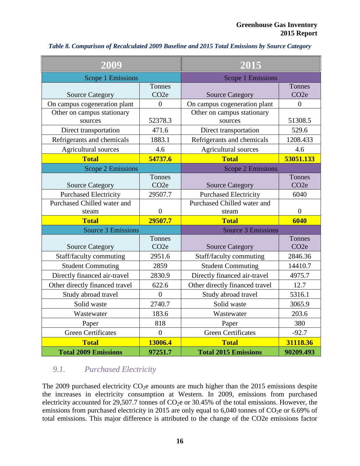| 2009                                  |                             | 2015                                  |                             |  |  |
|---------------------------------------|-----------------------------|---------------------------------------|-----------------------------|--|--|
| Scope 1 Emissions                     |                             |                                       | Scope 1 Emissions           |  |  |
| <b>Source Category</b>                | Tonnes<br>CO <sub>2</sub> e | <b>Source Category</b>                | Tonnes<br>CO <sub>2</sub> e |  |  |
| On campus cogeneration plant          | $\overline{0}$              | On campus cogeneration plant          | $\overline{0}$              |  |  |
| Other on campus stationary<br>sources | 52378.3                     | Other on campus stationary<br>sources | 51308.5                     |  |  |
| Direct transportation                 | 471.6                       | Direct transportation                 | 529.6                       |  |  |
| Refrigerants and chemicals            | 1883.1                      | Refrigerants and chemicals            | 1208.433                    |  |  |
| Agricultural sources                  | 4.6                         | Agricultural sources                  | 4.6                         |  |  |
| <b>Total</b>                          | 54737.6                     | <b>Total</b>                          | 53051.133                   |  |  |
| <b>Scope 2 Emissions</b>              |                             | <b>Scope 2 Emissions</b>              |                             |  |  |
| <b>Source Category</b>                | Tonnes<br>CO <sub>2</sub> e | <b>Source Category</b>                | Tonnes<br>CO <sub>2</sub> e |  |  |
| <b>Purchased Electricity</b>          | 29507.7                     | <b>Purchased Electricity</b>          | 6040                        |  |  |
| Purchased Chilled water and           |                             | Purchased Chilled water and           |                             |  |  |
| steam                                 | $\overline{0}$              | steam                                 | $\overline{0}$              |  |  |
| <b>Total</b>                          | 29507.7                     | <b>Total</b>                          | 6040                        |  |  |
| <b>Source 3 Emissions</b>             |                             | <b>Source 3 Emissions</b>             |                             |  |  |
| <b>Source Category</b>                | Tonnes<br>CO <sub>2</sub> e | <b>Source Category</b>                | Tonnes<br>CO <sub>2</sub> e |  |  |
| Staff/faculty commuting               | 2951.6                      | Staff/faculty commuting               | 2846.36                     |  |  |
| <b>Student Commuting</b>              | 2859                        | <b>Student Commuting</b>              | 14410.7                     |  |  |
| Directly financed air-travel          | 2830.9                      | Directly financed air-travel          | 4975.7                      |  |  |
| Other directly financed travel        | 622.6                       | Other directly financed travel        | 12.7                        |  |  |
| Study abroad travel                   | $\overline{0}$              | Study abroad travel                   | 5316.1                      |  |  |
| Solid waste                           | 2740.7                      | Solid waste                           | 3065.9                      |  |  |
| Wastewater                            | 183.6                       | Wastewater                            | 203.6                       |  |  |
| Paper                                 | 818                         | Paper                                 | 380                         |  |  |
| <b>Green Certificates</b>             | $\overline{0}$              | <b>Green Certificates</b>             | $-92.7$                     |  |  |
| <b>Total</b>                          | 13006.4                     | <b>Total</b>                          | 31118.36                    |  |  |
| <b>Total 2009 Emissions</b>           | 97251.7                     | <b>Total 2015 Emissions</b>           | 90209.493                   |  |  |

#### <span id="page-21-0"></span>*Table 8. Comparison of Recalculated 2009 Baseline and 2015 Total Emissions by Source Category*

#### *9.1. Purchased Electricity*

The 2009 purchased electricity  $CO<sub>2</sub>e$  amounts are much higher than the 2015 emissions despite the increases in electricity consumption at Western. In 2009, emissions from purchased electricity accounted for 29,507.7 tonnes of  $CO<sub>2</sub>e$  or 30.45% of the total emissions. However, the emissions from purchased electricity in 2015 are only equal to 6,040 tonnes of  $CO<sub>2</sub>e$  or 6.69% of total emissions. This major difference is attributed to the change of the CO2e emissions factor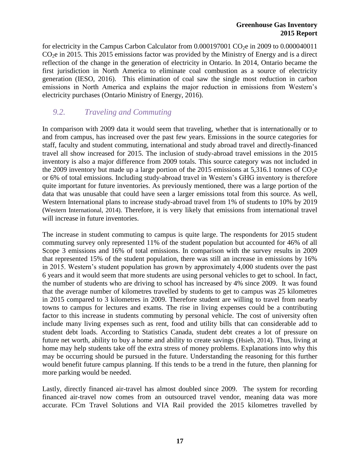for electricity in the Campus Carbon Calculator from  $0.000197001$  CO<sub>2</sub>e in 2009 to  $0.000040011$  $CO<sub>2</sub>e$  in 2015. This 2015 emissions factor was provided by the Ministry of Energy and is a direct reflection of the change in the generation of electricity in Ontario. In 2014, Ontario became the first jurisdiction in North America to eliminate coal combustion as a source of electricity generation (IESO, 2016). This elimination of coal saw the single most reduction in carbon emissions in North America and explains the major reduction in emissions from Western's electricity purchases (Ontario Ministry of Energy, 2016).

### *9.2. Traveling and Commuting*

In comparison with 2009 data it would seem that traveling, whether that is internationally or to and from campus, has increased over the past few years. Emissions in the source categories for staff, faculty and student commuting, international and study abroad travel and directly-financed travel all show increased for 2015. The inclusion of study-abroad travel emissions in the 2015 inventory is also a major difference from 2009 totals. This source category was not included in the 2009 inventory but made up a large portion of the 2015 emissions at 5,316.1 tonnes of  $CO<sub>2</sub>e$ or 6% of total emissions. Including study-abroad travel in Western's GHG inventory is therefore quite important for future inventories. As previously mentioned, there was a large portion of the data that was unusable that could have seen a larger emissions total from this source. As well, Western International plans to increase study-abroad travel from 1% of students to 10% by 2019 (Western International, 2014). Therefore, it is very likely that emissions from international travel will increase in future inventories.

The increase in student commuting to campus is quite large. The respondents for 2015 student commuting survey only represented 11% of the student population but accounted for 46% of all Scope 3 emissions and 16% of total emissions. In comparison with the survey results in 2009 that represented 15% of the student population, there was still an increase in emissions by 16% in 2015. Western's student population has grown by approximately 4,000 students over the past 6 years and it would seem that more students are using personal vehicles to get to school. In fact, the number of students who are driving to school has increased by 4% since 2009. It was found that the average number of kilometres travelled by students to get to campus was 25 kilometres in 2015 compared to 3 kilometres in 2009. Therefore student are willing to travel from nearby towns to campus for lectures and exams. The rise in living expenses could be a contributing factor to this increase in students commuting by personal vehicle. The cost of university often include many living expenses such as rent, food and utility bills that can considerable add to student debt loads. According to Statistics Canada, student debt creates a lot of pressure on future net worth, ability to buy a home and ability to create savings (Hsieh, 2014). Thus, living at home may help students take off the extra stress of money problems. Explanations into why this may be occurring should be pursued in the future. Understanding the reasoning for this further would benefit future campus planning. If this tends to be a trend in the future, then planning for more parking would be needed.

Lastly, directly financed air-travel has almost doubled since 2009. The system for recording financed air-travel now comes from an outsourced travel vendor, meaning data was more accurate. FCm Travel Solutions and VIA Rail provided the 2015 kilometres travelled by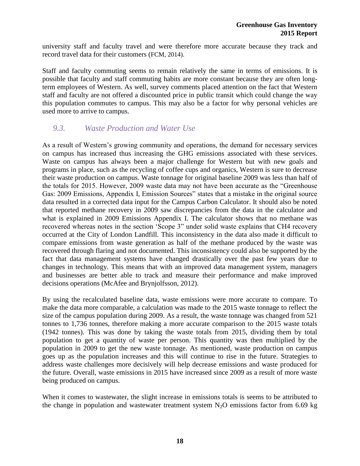university staff and faculty travel and were therefore more accurate because they track and record travel data for their customers (FCM, 2014).

Staff and faculty commuting seems to remain relatively the same in terms of emissions. It is possible that faculty and staff commuting habits are more constant because they are often longterm employees of Western. As well, survey comments placed attention on the fact that Western staff and faculty are not offered a discounted price in public transit which could change the way this population commutes to campus. This may also be a factor for why personal vehicles are used more to arrive to campus.

#### *9.3. Waste Production and Water Use*

As a result of Western's growing community and operations, the demand for necessary services on campus has increased thus increasing the GHG emissions associated with these services. Waste on campus has always been a major challenge for Western but with new goals and programs in place, such as the recycling of coffee cups and organics, Western is sure to decrease their waste production on campus. Waste tonnage for original baseline 2009 was less than half of the totals for 2015. However, 2009 waste data may not have been accurate as the "Greenhouse Gas: 2009 Emissions, Appendix I, Emission Sources" states that a mistake in the original source data resulted in a corrected data input for the Campus Carbon Calculator. It should also be noted that reported methane recovery in 2009 saw discrepancies from the data in the calculator and what is explained in 2009 Emissions Appendix I. The calculator shows that no methane was recovered whereas notes in the section 'Scope 3" under solid waste explains that CH4 recovery occurred at the City of London Landfill. This inconsistency in the data also made it difficult to compare emissions from waste generation as half of the methane produced by the waste was recovered through flaring and not documented. This inconsistency could also be supported by the fact that data management systems have changed drastically over the past few years due to changes in technology. This means that with an improved data management system, managers and businesses are better able to track and measure their performance and make improved decisions operations (McAfee and Brynjolfsson, 2012).

By using the recalculated baseline data, waste emissions were more accurate to compare. To make the data more comparable, a calculation was made to the 2015 waste tonnage to reflect the size of the campus population during 2009. As a result, the waste tonnage was changed from 521 tonnes to 1,736 tonnes, therefore making a more accurate comparison to the 2015 waste totals (1942 tonnes). This was done by taking the waste totals from 2015, dividing them by total population to get a quantity of waste per person. This quantity was then multiplied by the population in 2009 to get the new waste tonnage. As mentioned, waste production on campus goes up as the population increases and this will continue to rise in the future. Strategies to address waste challenges more decisively will help decrease emissions and waste produced for the future. Overall, waste emissions in 2015 have increased since 2009 as a result of more waste being produced on campus.

When it comes to wastewater, the slight increase in emissions totals is seems to be attributed to the change in population and wastewater treatment system  $N_2O$  emissions factor from 6.69 kg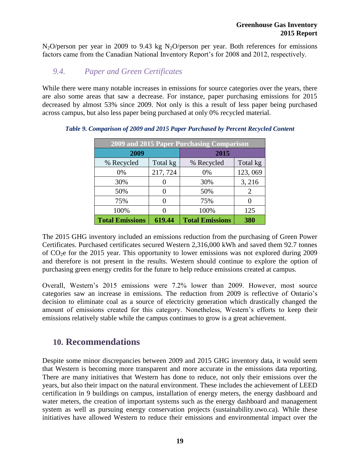$N_2O/p$ erson per year in 2009 to 9.43 kg  $N_2O/p$ erson per year. Both references for emissions factors came from the Canadian National Inventory Report's for 2008 and 2012, respectively.

### *9.4. Paper and Green Certificates*

While there were many notable increases in emissions for source categories over the years, there are also some areas that saw a decrease. For instance, paper purchasing emissions for 2015 decreased by almost 53% since 2009. Not only is this a result of less paper being purchased across campus, but also less paper being purchased at only 0% recycled material.

| 2009 and 2015 Paper Purchasing Comparison |          |                        |                       |
|-------------------------------------------|----------|------------------------|-----------------------|
| 2009                                      |          | 2015                   |                       |
| % Recycled                                | Total kg | % Recycled             | Total kg              |
| 0%                                        | 217, 724 | 0%                     | 123,069               |
| 30%                                       |          | 30%                    | 3, 216                |
| 50%                                       |          | 50%                    | $\mathcal{D}_{\cdot}$ |
| 75%                                       |          | 75%                    | $\mathbf{\Omega}$     |
| 100%                                      |          | 100%                   | 125                   |
| <b>Total Emissions</b>                    | 619.44   | <b>Total Emissions</b> | 380                   |

#### <span id="page-24-1"></span>*Table 9. Comparison of 2009 and 2015 Paper Purchased by Percent Recycled Content*

The 2015 GHG inventory included an emissions reduction from the purchasing of Green Power Certificates. Purchased certificates secured Western 2,316,000 kWh and saved them 92.7 tonnes of  $CO<sub>2</sub>e$  for the 2015 year. This opportunity to lower emissions was not explored during 2009 and therefore is not present in the results. Western should continue to explore the option of purchasing green energy credits for the future to help reduce emissions created at campus.

Overall, Western's 2015 emissions were 7.2% lower than 2009. However, most source categories saw an increase in emissions. The reduction from 2009 is reflective of Ontario's decision to eliminate coal as a source of electricity generation which drastically changed the amount of emissions created for this category. Nonetheless, Western's efforts to keep their emissions relatively stable while the campus continues to grow is a great achievement.

## <span id="page-24-0"></span>**10. Recommendations**

Despite some minor discrepancies between 2009 and 2015 GHG inventory data, it would seem that Western is becoming more transparent and more accurate in the emissions data reporting. There are many initiatives that Western has done to reduce, not only their emissions over the years, but also their impact on the natural environment. These includes the achievement of LEED certification in 9 buildings on campus, installation of energy meters, the energy dashboard and water meters, the creation of important systems such as the energy dashboard and management system as well as pursuing energy conservation projects (sustainability.uwo.ca). While these initiatives have allowed Western to reduce their emissions and environmental impact over the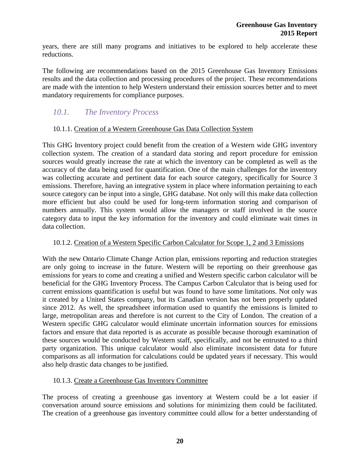years, there are still many programs and initiatives to be explored to help accelerate these reductions.

The following are recommendations based on the 2015 Greenhouse Gas Inventory Emissions results and the data collection and processing procedures of the project. These recommendations are made with the intention to help Western understand their emission sources better and to meet mandatory requirements for compliance purposes.

#### *10.1. The Inventory Process*

#### 10.1.1. Creation of a Western Greenhouse Gas Data Collection System

This GHG Inventory project could benefit from the creation of a Western wide GHG inventory collection system. The creation of a standard data storing and report procedure for emission sources would greatly increase the rate at which the inventory can be completed as well as the accuracy of the data being used for quantification. One of the main challenges for the inventory was collecting accurate and pertinent data for each source category, specifically for Source 3 emissions. Therefore, having an integrative system in place where information pertaining to each source category can be input into a single, GHG database. Not only will this make data collection more efficient but also could be used for long-term information storing and comparison of numbers annually. This system would allow the managers or staff involved in the source category data to input the key information for the inventory and could eliminate wait times in data collection.

#### 10.1.2. Creation of a Western Specific Carbon Calculator for Scope 1, 2 and 3 Emissions

With the new Ontario Climate Change Action plan, emissions reporting and reduction strategies are only going to increase in the future. Western will be reporting on their greenhouse gas emissions for years to come and creating a unified and Western specific carbon calculator will be beneficial for the GHG Inventory Process. The Campus Carbon Calculator that is being used for current emissions quantification is useful but was found to have some limitations. Not only was it created by a United States company, but its Canadian version has not been properly updated since 2012. As well, the spreadsheet information used to quantify the emissions is limited to large, metropolitan areas and therefore is not current to the City of London. The creation of a Western specific GHG calculator would eliminate uncertain information sources for emissions factors and ensure that data reported is as accurate as possible because thorough examination of these sources would be conducted by Western staff, specifically, and not be entrusted to a third party organization. This unique calculator would also eliminate inconsistent data for future comparisons as all information for calculations could be updated years if necessary. This would also help drastic data changes to be justified.

#### 10.1.3. Create a Greenhouse Gas Inventory Committee

The process of creating a greenhouse gas inventory at Western could be a lot easier if conversation around source emissions and solutions for minimizing them could be facilitated. The creation of a greenhouse gas inventory committee could allow for a better understanding of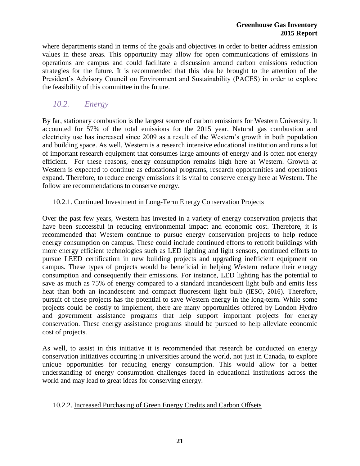where departments stand in terms of the goals and objectives in order to better address emission values in these areas. This opportunity may allow for open communications of emissions in operations are campus and could facilitate a discussion around carbon emissions reduction strategies for the future. It is recommended that this idea be brought to the attention of the President's Advisory Council on Environment and Sustainability (PACES) in order to explore the feasibility of this committee in the future.

#### *10.2. Energy*

By far, stationary combustion is the largest source of carbon emissions for Western University. It accounted for 57% of the total emissions for the 2015 year. Natural gas combustion and electricity use has increased since 2009 as a result of the Western's growth in both population and building space. As well, Western is a research intensive educational institution and runs a lot of important research equipment that consumes large amounts of energy and is often not energy efficient. For these reasons, energy consumption remains high here at Western. Growth at Western is expected to continue as educational programs, research opportunities and operations expand. Therefore, to reduce energy emissions it is vital to conserve energy here at Western. The follow are recommendations to conserve energy.

#### 10.2.1. Continued Investment in Long-Term Energy Conservation Projects

Over the past few years, Western has invested in a variety of energy conservation projects that have been successful in reducing environmental impact and economic cost. Therefore, it is recommended that Western continue to pursue energy conservation projects to help reduce energy consumption on campus. These could include continued efforts to retrofit buildings with more energy efficient technologies such as LED lighting and light sensors, continued efforts to pursue LEED certification in new building projects and upgrading inefficient equipment on campus. These types of projects would be beneficial in helping Western reduce their energy consumption and consequently their emissions. For instance, LED lighting has the potential to save as much as 75% of energy compared to a standard incandescent light bulb and emits less heat than both an incandescent and compact fluorescent light bulb (IESO, 2016). Therefore, pursuit of these projects has the potential to save Western energy in the long-term. While some projects could be costly to implement, there are many opportunities offered by London Hydro and government assistance programs that help support important projects for energy conservation. These energy assistance programs should be pursued to help alleviate economic cost of projects.

As well, to assist in this initiative it is recommended that research be conducted on energy conservation initiatives occurring in universities around the world, not just in Canada, to explore unique opportunities for reducing energy consumption. This would allow for a better understanding of energy consumption challenges faced in educational institutions across the world and may lead to great ideas for conserving energy.

#### 10.2.2. Increased Purchasing of Green Energy Credits and Carbon Offsets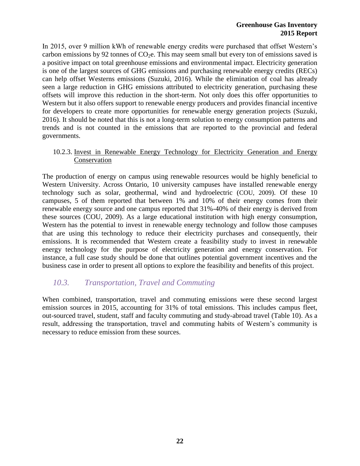In 2015, over 9 million kWh of renewable energy credits were purchased that offset Western's carbon emissions by 92 tonnes of  $CO<sub>2</sub>e$ . This may seem small but every ton of emissions saved is a positive impact on total greenhouse emissions and environmental impact. Electricity generation is one of the largest sources of GHG emissions and purchasing renewable energy credits (RECs) can help offset Westerns emissions (Suzuki, 2016). While the elimination of coal has already seen a large reduction in GHG emissions attributed to electricity generation, purchasing these offsets will improve this reduction in the short-term. Not only does this offer opportunities to Western but it also offers support to renewable energy producers and provides financial incentive for developers to create more opportunities for renewable energy generation projects (Suzuki, 2016). It should be noted that this is not a long-term solution to energy consumption patterns and trends and is not counted in the emissions that are reported to the provincial and federal governments.

10.2.3. Invest in Renewable Energy Technology for Electricity Generation and Energy Conservation

The production of energy on campus using renewable resources would be highly beneficial to Western University. Across Ontario, 10 university campuses have installed renewable energy technology such as solar, geothermal, wind and hydroelectric (COU, 2009). Of these 10 campuses, 5 of them reported that between 1% and 10% of their energy comes from their renewable energy source and one campus reported that 31%-40% of their energy is derived from these sources (COU, 2009). As a large educational institution with high energy consumption, Western has the potential to invest in renewable energy technology and follow those campuses that are using this technology to reduce their electricity purchases and consequently, their emissions. It is recommended that Western create a feasibility study to invest in renewable energy technology for the purpose of electricity generation and energy conservation. For instance, a full case study should be done that outlines potential government incentives and the business case in order to present all options to explore the feasibility and benefits of this project.

#### *10.3. Transportation, Travel and Commuting*

When combined, transportation, travel and commuting emissions were these second largest emission sources in 2015, accounting for 31% of total emissions. This includes campus fleet, out-sourced travel, student, staff and faculty commuting and study-abroad travel (Table 10). As a result, addressing the transportation, travel and commuting habits of Western's community is necessary to reduce emission from these sources.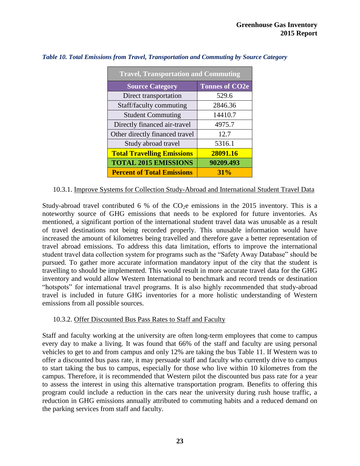| <b>Travel, Transportation and Commuting</b> |                       |  |  |
|---------------------------------------------|-----------------------|--|--|
| <b>Source Category</b>                      | <b>Tonnes of CO2e</b> |  |  |
| Direct transportation                       | 529.6                 |  |  |
| Staff/faculty commuting                     | 2846.36               |  |  |
| <b>Student Commuting</b>                    | 14410.7               |  |  |
| Directly financed air-travel                | 4975.7                |  |  |
| Other directly financed travel              | 12.7                  |  |  |
| Study abroad travel                         | 5316.1                |  |  |
| <b>Total Travelling Emissions</b>           | 28091.16              |  |  |
| <b>TOTAL 2015 EMISSIONS</b>                 | 90209.493             |  |  |
| <b>Percent of Total Emissions</b>           | 31%                   |  |  |

#### <span id="page-28-0"></span>*Table 10. Total Emissions from Travel, Transportation and Commuting by Source Category*

#### 10.3.1. Improve Systems for Collection Study-Abroad and International Student Travel Data

Study-abroad travel contributed 6 % of the  $CO<sub>2</sub>e$  emissions in the 2015 inventory. This is a noteworthy source of GHG emissions that needs to be explored for future inventories. As mentioned, a significant portion of the international student travel data was unusable as a result of travel destinations not being recorded properly. This unusable information would have increased the amount of kilometres being travelled and therefore gave a better representation of travel abroad emissions. To address this data limitation, efforts to improve the international student travel data collection system for programs such as the "Safety Away Database" should be pursued. To gather more accurate information mandatory input of the city that the student is travelling to should be implemented. This would result in more accurate travel data for the GHG inventory and would allow Western International to benchmark and record trends or destination "hotspots" for international travel programs. It is also highly recommended that study-abroad travel is included in future GHG inventories for a more holistic understanding of Western emissions from all possible sources.

#### 10.3.2. Offer Discounted Bus Pass Rates to Staff and Faculty

Staff and faculty working at the university are often long-term employees that come to campus every day to make a living. It was found that 66% of the staff and faculty are using personal vehicles to get to and from campus and only 12% are taking the bus Table 11. If Western was to offer a discounted bus pass rate, it may persuade staff and faculty who currently drive to campus to start taking the bus to campus, especially for those who live within 10 kilometres from the campus. Therefore, it is recommended that Western pilot the discounted bus pass rate for a year to assess the interest in using this alternative transportation program. Benefits to offering this program could include a reduction in the cars near the university during rush house traffic, a reduction in GHG emissions annually attributed to commuting habits and a reduced demand on the parking services from staff and faculty.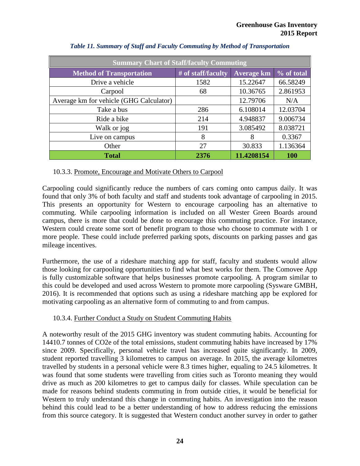<span id="page-29-0"></span>

| <b>Summary Chart of Staff/faculty Commuting</b> |                    |                   |            |  |
|-------------------------------------------------|--------------------|-------------------|------------|--|
| <b>Method of Transportation</b>                 | # of staff/faculty | <b>Average km</b> | % of total |  |
| Drive a vehicle                                 | 1582               | 15.22647          | 66.58249   |  |
| Carpool                                         | 68                 | 10.36765          | 2.861953   |  |
| Average km for vehicle (GHG Calculator)         |                    | 12.79706          | N/A        |  |
| Take a bus                                      | 286                | 6.108014          | 12.03704   |  |
| Ride a bike                                     | 214                | 4.948837          | 9.006734   |  |
| Walk or jog                                     | 191                | 3.085492          | 8.038721   |  |
| Live on campus                                  | 8                  | 8                 | 0.3367     |  |
| Other                                           | 27                 | 30.833            | 1.136364   |  |
| <b>Total</b>                                    | 2376               | 11.4208154        | <b>100</b> |  |

|  |  |  |  | Table 11. Summary of Staff and Faculty Commuting by Method of Transportation |
|--|--|--|--|------------------------------------------------------------------------------|
|--|--|--|--|------------------------------------------------------------------------------|

#### 10.3.3. Promote, Encourage and Motivate Others to Carpool

Carpooling could significantly reduce the numbers of cars coming onto campus daily. It was found that only 3% of both faculty and staff and students took advantage of carpooling in 2015. This presents an opportunity for Western to encourage carpooling has an alternative to commuting. While carpooling information is included on all Wester Green Boards around campus, there is more that could be done to encourage this commuting practice. For instance, Western could create some sort of benefit program to those who choose to commute with 1 or more people. These could include preferred parking spots, discounts on parking passes and gas mileage incentives.

Furthermore, the use of a rideshare matching app for staff, faculty and students would allow those looking for carpooling opportunities to find what best works for them. The Comovee App is fully customizable software that helps businesses promote carpooling. A program similar to this could be developed and used across Western to promote more carpooling (Sysware GMBH, 2016). It is recommended that options such as using a rideshare matching app be explored for motivating carpooling as an alternative form of commuting to and from campus.

#### 10.3.4. Further Conduct a Study on Student Commuting Habits

A noteworthy result of the 2015 GHG inventory was student commuting habits. Accounting for 14410.7 tonnes of CO2e of the total emissions, student commuting habits have increased by 17% since 2009. Specifically, personal vehicle travel has increased quite significantly. In 2009, student reported travelling 3 kilometres to campus on average. In 2015, the average kilometres travelled by students in a personal vehicle were 8.3 times higher, equaling to 24.5 kilometres. It was found that some students were travelling from cities such as Toronto meaning they would drive as much as 200 kilometres to get to campus daily for classes. While speculation can be made for reasons behind students commuting in from outside cities, it would be beneficial for Western to truly understand this change in commuting habits. An investigation into the reason behind this could lead to be a better understanding of how to address reducing the emissions from this source category. It is suggested that Western conduct another survey in order to gather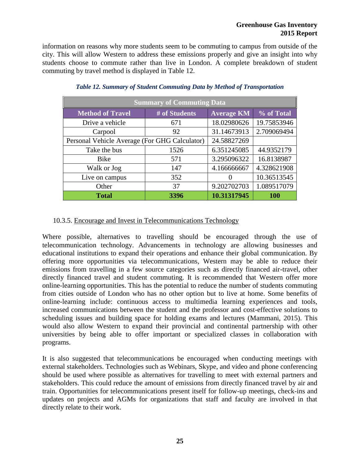#### **Greenhouse Gas Inventory 2015 Report**

information on reasons why more students seem to be commuting to campus from outside of the city. This will allow Western to address these emissions properly and give an insight into why students choose to commute rather than live in London. A complete breakdown of student commuting by travel method is displayed in Table 12.

<span id="page-30-0"></span>

| <b>Summary of Commuting Data</b>              |               |                   |             |
|-----------------------------------------------|---------------|-------------------|-------------|
| <b>Method of Travel</b>                       | # of Students | <b>Average KM</b> | % of Total  |
| Drive a vehicle                               | 671           | 18.02980626       | 19.75853946 |
| Carpool                                       | 92            | 31.14673913       | 2.709069494 |
| Personal Vehicle Average (For GHG Calculator) |               | 24.58827269       |             |
| Take the bus                                  | 1526          | 6.351245085       | 44.9352179  |
| Bike                                          | 571           | 3.295096322       | 16.8138987  |
| Walk or Jog                                   | 147           | 4.166666667       | 4.328621908 |
| Live on campus                                | 352           |                   | 10.36513545 |
| Other                                         | 37            | 9.202702703       | 1.089517079 |
| <b>Total</b>                                  | 3396          | 10.31317945       | <b>100</b>  |

*Table 12. Summary of Student Commuting Data by Method of Transportation*

#### 10.3.5. Encourage and Invest in Telecommunications Technology

Where possible, alternatives to travelling should be encouraged through the use of telecommunication technology. Advancements in technology are allowing businesses and educational institutions to expand their operations and enhance their global communication. By offering more opportunities via telecommunications, Western may be able to reduce their emissions from travelling in a few source categories such as directly financed air-travel, other directly financed travel and student commuting. It is recommended that Western offer more online-learning opportunities. This has the potential to reduce the number of students commuting from cities outside of London who has no other option but to live at home. Some benefits of online-learning include: continuous access to multimedia learning experiences and tools, increased communications between the student and the professor and cost-effective solutions to scheduling issues and building space for holding exams and lectures (Mammani, 2015). This would also allow Western to expand their provincial and continental partnership with other universities by being able to offer important or specialized classes in collaboration with programs.

It is also suggested that telecommunications be encouraged when conducting meetings with external stakeholders. Technologies such as Webinars, Skype, and video and phone conferencing should be used where possible as alternatives for travelling to meet with external partners and stakeholders. This could reduce the amount of emissions from directly financed travel by air and train. Opportunities for telecommunications present itself for follow-up meetings, check-ins and updates on projects and AGMs for organizations that staff and faculty are involved in that directly relate to their work.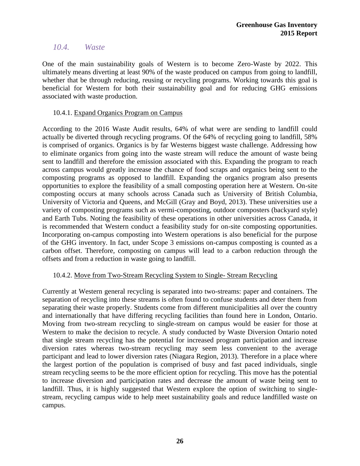#### *10.4. Waste*

One of the main sustainability goals of Western is to become Zero-Waste by 2022. This ultimately means diverting at least 90% of the waste produced on campus from going to landfill, whether that be through reducing, reusing or recycling programs. Working towards this goal is beneficial for Western for both their sustainability goal and for reducing GHG emissions associated with waste production.

#### 10.4.1. Expand Organics Program on Campus

According to the 2016 Waste Audit results, 64% of what were are sending to landfill could actually be diverted through recycling programs. Of the 64% of recycling going to landfill, 58% is comprised of organics. Organics is by far Westerns biggest waste challenge. Addressing how to eliminate organics from going into the waste stream will reduce the amount of waste being sent to landfill and therefore the emission associated with this. Expanding the program to reach across campus would greatly increase the chance of food scraps and organics being sent to the composting programs as opposed to landfill. Expanding the organics program also presents opportunities to explore the feasibility of a small composting operation here at Western. On-site composting occurs at many schools across Canada such as University of British Columbia, University of Victoria and Queens, and McGill (Gray and Boyd, 2013). These universities use a variety of composting programs such as vermi-composting, outdoor composters (backyard style) and Earth Tubs. Noting the feasibility of these operations in other universities across Canada, it is recommended that Western conduct a feasibility study for on-site composting opportunities. Incorporating on-campus composting into Western operations is also beneficial for the purpose of the GHG inventory. In fact, under Scope 3 emissions on-campus composting is counted as a carbon offset. Therefore, composting on campus will lead to a carbon reduction through the offsets and from a reduction in waste going to landfill.

#### 10.4.2. Move from Two-Stream Recycling System to Single- Stream Recycling

Currently at Western general recycling is separated into two-streams: paper and containers. The separation of recycling into these streams is often found to confuse students and deter them from separating their waste properly. Students come from different municipalities all over the country and internationally that have differing recycling facilities than found here in London, Ontario. Moving from two-stream recycling to single-stream on campus would be easier for those at Western to make the decision to recycle. A study conducted by Waste Diversion Ontario noted that single stream recycling has the potential for increased program participation and increase diversion rates whereas two-stream recycling may seem less convenient to the average participant and lead to lower diversion rates (Niagara Region, 2013). Therefore in a place where the largest portion of the population is comprised of busy and fast paced individuals, single stream recycling seems to be the more efficient option for recycling. This move has the potential to increase diversion and participation rates and decrease the amount of waste being sent to landfill. Thus, it is highly suggested that Western explore the option of switching to singlestream, recycling campus wide to help meet sustainability goals and reduce landfilled waste on campus.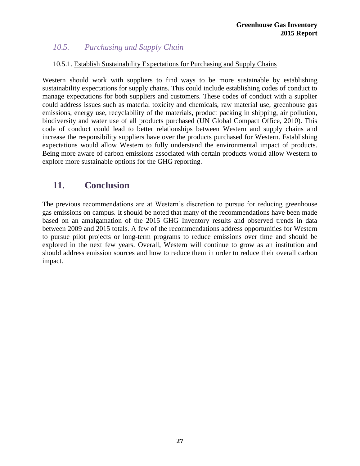#### *10.5. Purchasing and Supply Chain*

#### 10.5.1. Establish Sustainability Expectations for Purchasing and Supply Chains

Western should work with suppliers to find ways to be more sustainable by establishing sustainability expectations for supply chains. This could include establishing codes of conduct to manage expectations for both suppliers and customers. These codes of conduct with a supplier could address issues such as material toxicity and chemicals, raw material use, greenhouse gas emissions, energy use, recyclability of the materials, product packing in shipping, air pollution, biodiversity and water use of all products purchased (UN Global Compact Office, 2010). This code of conduct could lead to better relationships between Western and supply chains and increase the responsibility suppliers have over the products purchased for Western. Establishing expectations would allow Western to fully understand the environmental impact of products. Being more aware of carbon emissions associated with certain products would allow Western to explore more sustainable options for the GHG reporting.

## <span id="page-32-0"></span>**11. Conclusion**

The previous recommendations are at Western's discretion to pursue for reducing greenhouse gas emissions on campus. It should be noted that many of the recommendations have been made based on an amalgamation of the 2015 GHG Inventory results and observed trends in data between 2009 and 2015 totals. A few of the recommendations address opportunities for Western to pursue pilot projects or long-term programs to reduce emissions over time and should be explored in the next few years. Overall, Western will continue to grow as an institution and should address emission sources and how to reduce them in order to reduce their overall carbon impact.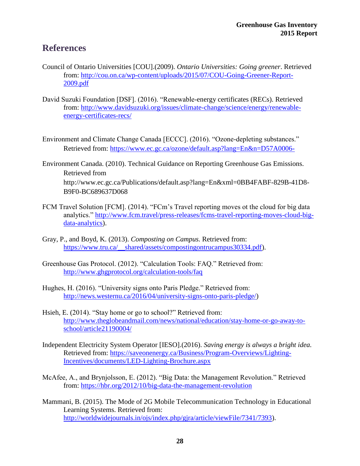## <span id="page-33-0"></span>**References**

- Council of Ontario Universities [COU].(2009). *Ontario Universities: Going greener*. Retrieved from: [http://cou.on.ca/wp-content/uploads/2015/07/COU-Going-Greener-Report-](http://cou.on.ca/wp-content/uploads/2015/07/COU-Going-Greener-Report-2009.pdf)[2009.pdf](http://cou.on.ca/wp-content/uploads/2015/07/COU-Going-Greener-Report-2009.pdf)
- David Suzuki Foundation [DSF]. (2016). "Renewable-energy certificates (RECs). Retrieved from: [http://www.davidsuzuki.org/issues/climate-change/science/energy/renewable](http://www.davidsuzuki.org/issues/climate-change/science/energy/renewable-energy-certificates-recs/)[energy-certificates-recs/](http://www.davidsuzuki.org/issues/climate-change/science/energy/renewable-energy-certificates-recs/)
- Environment and Climate Change Canada [ECCC]. (2016). "Ozone-depleting substances." Retrieved from:<https://www.ec.gc.ca/ozone/default.asp?lang=En&n=D57A0006->
- Environment Canada. (2010). Technical Guidance on Reporting Greenhouse Gas Emissions. Retrieved from http://www.ec.gc.ca/Publications/default.asp?lang=En&xml=0BB4FABF-829B-41D8- B9F0-BC689637D068
- FCM Travel Solution [FCM]. (2014). "FCm's Travel reporting moves ot the cloud for big data analytics." [http://www.fcm.travel/press-releases/fcms-travel-reporting-moves-cloud-big](http://www.fcm.travel/press-releases/fcms-travel-reporting-moves-cloud-big-data-analytics)[data-analytics\)](http://www.fcm.travel/press-releases/fcms-travel-reporting-moves-cloud-big-data-analytics).
- Gray, P., and Boyd, K. (2013). *Composting on Campus.* Retrieved from: [https://www.tru.ca/\\_\\_shared/assets/compostingontrucampus30334.pdf\)](https://www.tru.ca/__shared/assets/compostingontrucampus30334.pdf).
- Greenhouse Gas Protocol. (2012). "Calculation Tools: FAQ." Retrieved from: <http://www.ghgprotocol.org/calculation-tools/faq>
- Hughes, H. (2016). "University signs onto Paris Pledge." Retrieved from: [http://news.westernu.ca/2016/04/university-signs-onto-paris-pledge/\)](http://news.westernu.ca/2016/04/university-signs-onto-paris-pledge/)
- Hsieh, E. (2014). "Stay home or go to school?" Retrieved from: [http://www.theglobeandmail.com/news/national/education/stay-home-or-go-away-to](http://www.theglobeandmail.com/news/national/education/stay-home-or-go-away-to-school/article21190004/)[school/article21190004/](http://www.theglobeandmail.com/news/national/education/stay-home-or-go-away-to-school/article21190004/)
- Independent Electricity System Operator [IESO].(2016). *Saving energy is always a bright idea.*  Retrieved from: [https://saveonenergy.ca/Business/Program-Overviews/Lighting-](https://saveonenergy.ca/Business/Program-Overviews/Lighting-Incentives/documents/LED-Lighting-Brochure.aspx)[Incentives/documents/LED-Lighting-Brochure.aspx](https://saveonenergy.ca/Business/Program-Overviews/Lighting-Incentives/documents/LED-Lighting-Brochure.aspx)
- McAfee, A., and Brynjolsson, E. (2012). "Big Data: the Management Revolution." Retrieved from:<https://hbr.org/2012/10/big-data-the-management-revolution>
- Mammani, B. (2015). The Mode of 2G Mobile Telecommunication Technology in Educational Learning Systems. Retrieved from: [http://worldwidejournals.in/ojs/index.php/gjra/article/viewFile/7341/7393\)](http://worldwidejournals.in/ojs/index.php/gjra/article/viewFile/7341/7393).